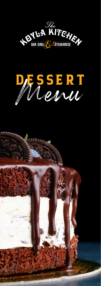